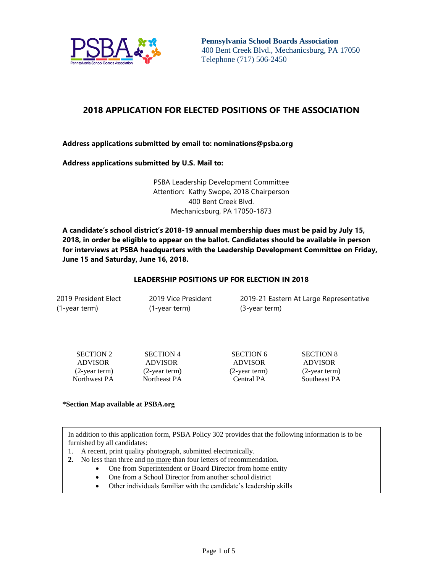

**Pennsylvania School Boards Association** 400 Bent Creek Blvd., Mechanicsburg, PA 17050 Telephone (717) 506-2450

# **2018 APPLICATION FOR ELECTED POSITIONS OF THE ASSOCIATION**

**Address applications submitted by email to: nominations@psba.org**

**Address applications submitted by U.S. Mail to:**

PSBA Leadership Development Committee Attention: Kathy Swope, 2018 Chairperson 400 Bent Creek Blvd. Mechanicsburg, PA 17050-1873

**A candidate's school district's 2018-19 annual membership dues must be paid by July 15, 2018, in order be eligible to appear on the ballot. Candidates should be available in person for interviews at PSBA headquarters with the Leadership Development Committee on Friday, June 15 and Saturday, June 16, 2018.** 

### **LEADERSHIP POSITIONS UP FOR ELECTION IN 2018**

| 2019 President Elect |  |
|----------------------|--|
| (1-year term)        |  |

2019 Vice President (1-year term)

2019-21 Eastern At Large Representative (3-year term)

| <b>SECTION 2</b> |
|------------------|
| ADVISOR          |
| $(2$ -year term) |
| Northwest PA     |

 SECTION 4 ADVISOR (2-year term) Northeast PA

ADVISOR ADVISOR

SECTION 6 SECTION 8 (2-year term) (2-year term) Central PA Southeast PA

#### **\*Section Map available at PSBA.org**

In addition to this application form, PSBA Policy 302 provides that the following information is to be furnished by all candidates:

- 1. A recent, print quality photograph, submitted electronically.
- **2.** No less than three and no more than four letters of recommendation.
	- One from Superintendent or Board Director from home entity
	- One from a School Director from another school district
	- Other individuals familiar with the candidate's leadership skills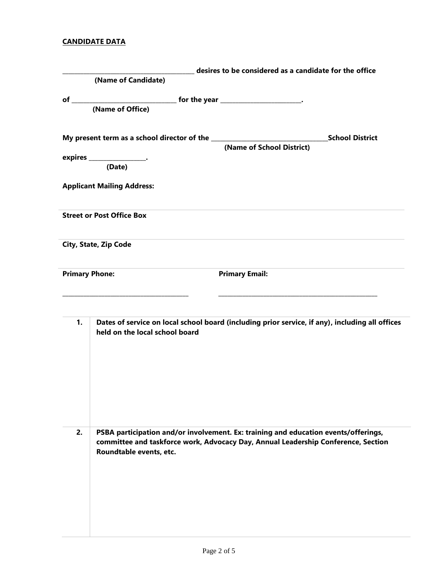## **CANDIDATE DATA**

|    | desires to be considered as a candidate for the office                                                                            |  |  |
|----|-----------------------------------------------------------------------------------------------------------------------------------|--|--|
|    | (Name of Candidate)                                                                                                               |  |  |
|    |                                                                                                                                   |  |  |
|    | (Name of Office)                                                                                                                  |  |  |
|    |                                                                                                                                   |  |  |
|    | <b>School District</b>                                                                                                            |  |  |
|    |                                                                                                                                   |  |  |
|    | expires _____________________.<br>(Date)                                                                                          |  |  |
|    |                                                                                                                                   |  |  |
|    | <b>Applicant Mailing Address:</b>                                                                                                 |  |  |
|    |                                                                                                                                   |  |  |
|    | <b>Street or Post Office Box</b>                                                                                                  |  |  |
|    |                                                                                                                                   |  |  |
|    | City, State, Zip Code                                                                                                             |  |  |
|    |                                                                                                                                   |  |  |
|    | <b>Primary Phone:</b><br><b>Primary Email:</b>                                                                                    |  |  |
|    |                                                                                                                                   |  |  |
|    |                                                                                                                                   |  |  |
|    |                                                                                                                                   |  |  |
| 1. | Dates of service on local school board (including prior service, if any), including all offices<br>held on the local school board |  |  |
|    |                                                                                                                                   |  |  |
|    |                                                                                                                                   |  |  |
|    |                                                                                                                                   |  |  |
|    |                                                                                                                                   |  |  |
|    |                                                                                                                                   |  |  |
|    |                                                                                                                                   |  |  |
|    |                                                                                                                                   |  |  |
| 2. | PSBA participation and/or involvement. Ex: training and education events/offerings,                                               |  |  |
|    | committee and taskforce work, Advocacy Day, Annual Leadership Conference, Section<br>Roundtable events, etc.                      |  |  |
|    |                                                                                                                                   |  |  |
|    |                                                                                                                                   |  |  |
|    |                                                                                                                                   |  |  |
|    |                                                                                                                                   |  |  |
|    |                                                                                                                                   |  |  |
|    |                                                                                                                                   |  |  |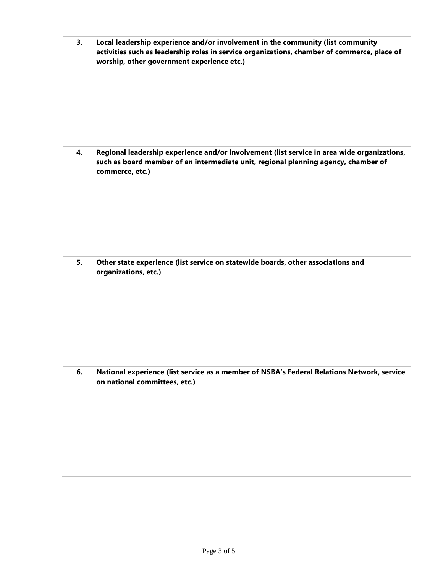| 3. | Local leadership experience and/or involvement in the community (list community<br>activities such as leadership roles in service organizations, chamber of commerce, place of<br>worship, other government experience etc.) |
|----|------------------------------------------------------------------------------------------------------------------------------------------------------------------------------------------------------------------------------|
| 4. | Regional leadership experience and/or involvement (list service in area wide organizations,<br>such as board member of an intermediate unit, regional planning agency, chamber of<br>commerce, etc.)                         |
| 5. | Other state experience (list service on statewide boards, other associations and<br>organizations, etc.)                                                                                                                     |
| 6. | National experience (list service as a member of NSBA's Federal Relations Network, service<br>on national committees, etc.)                                                                                                  |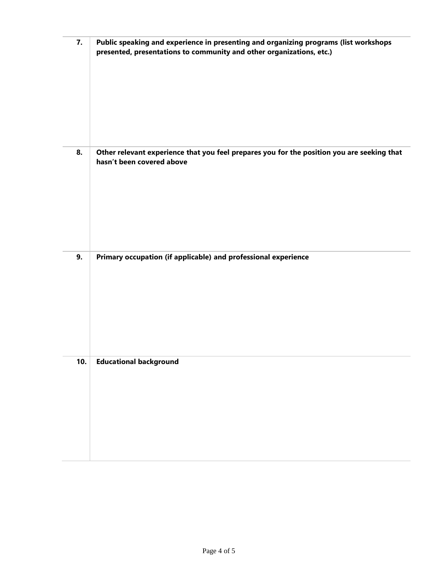| 7.  | Public speaking and experience in presenting and organizing programs (list workshops<br>presented, presentations to community and other organizations, etc.) |
|-----|--------------------------------------------------------------------------------------------------------------------------------------------------------------|
| 8.  | Other relevant experience that you feel prepares you for the position you are seeking that<br>hasn't been covered above                                      |
| 9.  | Primary occupation (if applicable) and professional experience                                                                                               |
| 10. | <b>Educational background</b>                                                                                                                                |